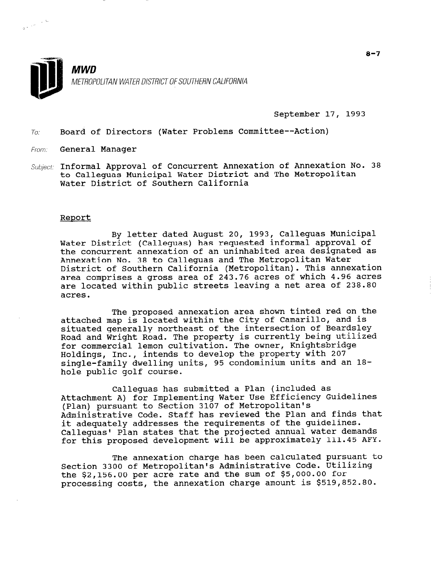September 17, 1993

To: Board of Directors (Water Problems Committee--Action)

From: **General Manager** 

 $\frac{1}{2} \left( e^{i \theta} \right)^{1/2}$ 

Subject: Informal Approval of Concurrent Annexation of Annexation No. 38 to Calleguas Municipal Water District and The Metropolitan Water District of Southern California

### Report

By letter dated August 20, 1993, Calleguas Municipal Water District (Calleguas) has requested informal approval of the concurrent annexation of an uninhabited area designated as Annexation No. 38 to Calleguas and The Metropolitan Water District of Southern California (Metropolitan). This annexation area comprises a gross area of 243.76 acres of which 4.96 acres are located within public streets leaving a net area of 238.80 acres.

The proposed annexation area shown tinted red on the attached map is located within the City of Camarillo, and is situated generally northeast of the intersection of Beardsley Road and Wright Road. The property is currently being utilized for commercial lemon cultivation. The owner, Knightsbridge Holdings, Inc., intends to develop the property with 207 single-family dwelling units, 95 condominium units and an 18 hole public golf course.

Calleguas has submitted a Plan (included as Attachment A) for Implementing Water Use Efficiency Guidelines (Plan) pursuant to Section 3107 of Metropolitan's Administrative Code. Staff has reviewed the Plan and finds that it adequately addresses the requirements of the guidelines. Calleguas' Plan states that the projected annual water demands for this proposed development will be approximately 111.45 AFY.

The annexation charge has been calculated pursuant to Section 3300 of Metropolitan's Administrative Code. Utilizing the \$2,156.00 per acre rate and the sum of \$5,000.00 for processing costs, the annexation charge amount is \$519,852.80.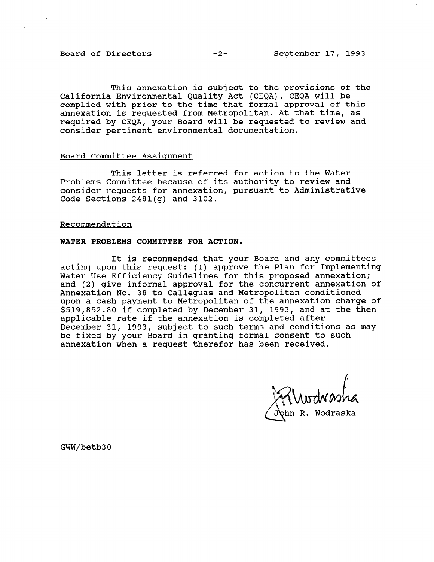Board of Directors -2- September 17, 1993

 $\Delta$ 

This annexation is subject to the provisions of the California Environmental Quality Act (CEQA). CEQA will be complied with prior to the time that formal approval of this annexation is requested from Metropolitan. At that time, as required by CEQA, your Board will be requested to review and consider pertinent environmental documentation.

### Board Committee Assignment

This letter is referred for action to the Water Problems Committee because of its authority to review and consider requests for annexation, pursuant to Administrative Code Sections 2481(g) and 3102.

### Recommendation

### WATER PROBLEMS COMMITTEE FOR ACTION.

It is recommended that your Board and any committees acting upon this request: (1) approve the Plan for Implementing Water Use Efficiency Guidelines for this proposed annexation; and (2) give informal approval for the concurrent annexation of Annexation No. 38 to Calleguas and Metropolitan conditioned upon a cash payment to Metropolitan of the annexation charge of \$519,852.80 if completed by December 31, 1993, and at the then applicable rate if the annexation is completed after December 31, 1993, subject to such terms and conditions as may be fixed by your Board in granting formal consent to such annexation when a request therefor has been received.

ın R. Wodraska

GWW/betb30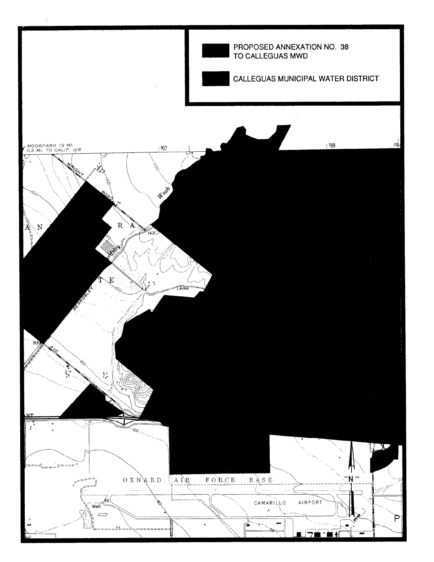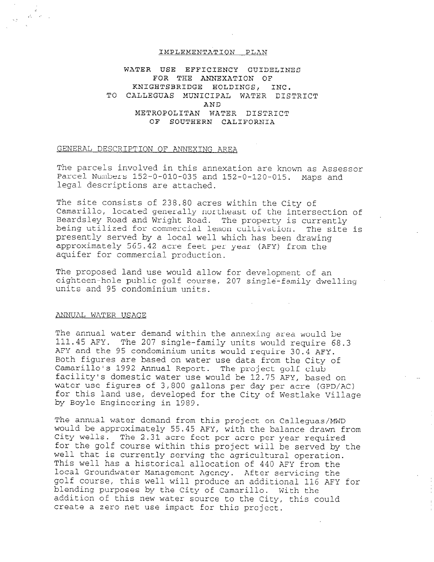### IMPLEMENTATION PLAN

WATER USE EFFICIENCY GUIDELINES FOR THE ANNEXATION OF XNIGHTSBRIDGE HOLDINGS, INC. TO CALLEGUAS MUNICIPAL WATER DISTRICT AND METROPOLITAN WATER DISTRICT OF SOUTHERN CALIFORNIA

### GENERAL DESCRIPTION OF ANNEXING AREA

The parcels involved in this annexation are known as Assessor Parcel Numbers 152-O-010-035 and 152-O-120-015. Maps and legal descriptions are attached.

The site consists of 238.80 acres within the City of Camariilo, located generally northeast of the intersection of Beardsley Road and Wright Road. The property is currently being utilized for commercial lemon cultivation. The site is presently served by a local well which has been drawing approximately 565.42 acre feet per year (AFY) from the aquifer for commercial production.

The proposed land use would allow for development of an eighteen-hole public golf course, 207 single-family dwelling units and 95 condominium units.

### ANNUAL WATER USAGE

 $\mathcal{A}_0$  ,  $\mathcal{A}_1$  ,

The annual water demand within the annexing area would be 111.45 AFY. The 207 single-family units would require 68.3 AFY and the 95 condominium units would require 30.4 AFY. Both figures are based on water use data from the City of Camarillo's 1992 Annual Report. The project golf club facility's domestic water use would be 12.75 AFY, based on water use figures of 3,800 gallons per day per acre (GPD/10) water use rigures or s,000 garions per day per acre (GPD/AC) for this land use, developed for the City of Westlake Village<br>by Boyle Engineering in 1989.

 $\mathbb{R}$  and  $\mathbb{R}$  and  $\mathbb{R}$  demond the calleguas/MDD from the  $\mathbb{R}$ The annual water demand from this project on Calleguas/MWD wourd be approximately 55.45 AFY, with the balance drawn<br>Gity vells. The 2.31 acre feet persons for the golf course within this project will be served by the served by the served by the served by the served by the served by the served by the served by the served by the served by the served by the served by the served for the golf course within this project will be served by the well that is currently serving the agricultural operation. This well has a historical allocation of 440 AFY from the local Groundwater Management Agency. After servicing the golf course, this well will produce an additional 116 AFY for blending purposes by the City of Camarillo. With the addition of this new water source to the City, this could<br>create a zero net use impact for this project.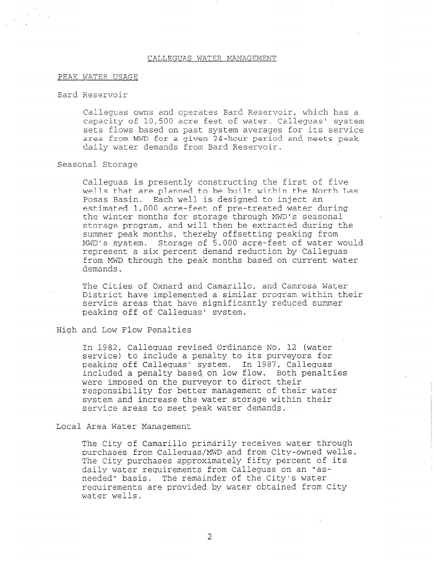#### CALLEGUAS WATER MANAGEMENT

### PEAK WATER USAGE

### Bard Reservoir

Calleguas owns and operates Bard Reservoir, which has a capacity of 10,500 acre feet of water. Calleguas' system sets flows based on past system averages for its service area from MWD for a given 24-hour period and meets peak daily water demands from Bard Reservoir.

### Seasonal Storage

Calleguas is presently constructing the first of five wells that are planned to be built within the North Las Posas Basin. Each well is designed to inject an estimated 1,000 acre-feet of pre-treated water during the winter months for storage through MWD's seasonal storage program, and will then be extracted during the summer peak months, thereby offsetting peaking from MWD's system. Storage of 5,000 acre-feet of water would represent a six percent demand reduction by Calleguas from MWD through the peak months based on current water demands.

The Cities of Oxnard and Camarillo, and Camrosa Water District have implemented a similar program within their service areas that have significantly reduced summer peaking off of Calleguas' system.

### High and Low Flow Penalties

In 1982, Calleguas revised Ordinance No. 12 (water service) to include a penalty to its purveyors for peaking off Calleguas' system. In 1987, Calleguas included a penalty based-on low flow. Both penalties were imposed on the purveyor to direct their responsibility for better management of their water system and increase the water storage within their service areas to meet peak water demands.

Local Area Water Management

The City of Camarillo primarily receives water through purchases from Calleguas/MWD and from City-owned wells. purchases if on Calleguas, my and if the percent of its dire vity purthases approximately filey percent of daily water requirements from Calleguas on an "as-<br>needed" basis. The remainder of the City's water requirements are provided by water obtained from City water wells.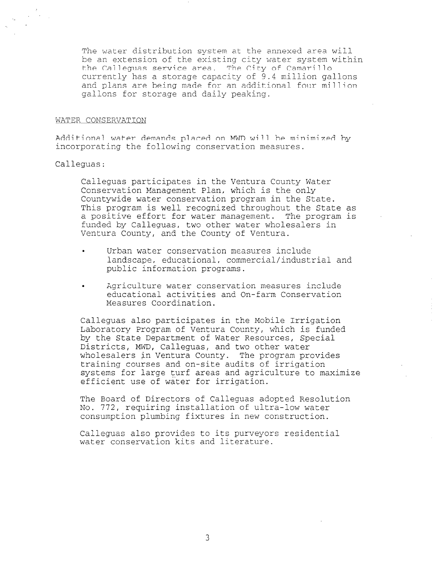The water distribution system at the annexed area will be an extension of the existing city water system within the Calleguas service area. The City of Camarillo currently has a storage capacity of 9.4 million gallons and plans are being made for an additional four million gallons for storage and daily peaking.

### WATER CONSERVATION

Additional water demands placed on MWD will be minimized by incorporating the following conservation measures.

# Calleguas:

Calleguas participates in the Ventura County Water Conservation Management Plan, which is the only Countywide water conservation program in the State. This program is well recognized throughout the State as a positive effort for water management. The program is funded by Calleguas, two other water wholesalers in Ventura County, and the County of Ventura.

- . Urban water conservation measures include landscape, educational, commercial/industrial and public information programs.
- . Agriculture water conservation measures include educational activities and On-farm Conservation Measures Coordination.

Calleguas also participates in the Mobile Irrigation Laboratory Program of Ventura County, which is funded by the State Department of Water Resources, Special Districts, MWD, Calleguas, and two other water wholesalers in Ventura County. The program provides training courses and on-site audits of irrigation  $\frac{1}{2}$  is the system of  $\frac{1}{2}$  and  $\frac{1}{2}$  and  $\frac{1}{2}$  and  $\frac{1}{2}$  and  $\frac{1}{2}$  and  $\frac{1}{2}$  are  $\frac{1}{2}$  and  $\frac{1}{2}$  and  $\frac{1}{2}$  and  $\frac{1}{2}$  and  $\frac{1}{2}$  and  $\frac{1}{2}$  and  $\frac{1}{2}$  and  $\frac{1}{2}$  an efficient use of water for irrigation.

The Board of Directors of Calleguas adopted Resolution No. 772, requiring installation of ultra-low water consumption plumbing fixtures in new construction.

Calleguas also provides to its purveyors residential water conservation kits and literature.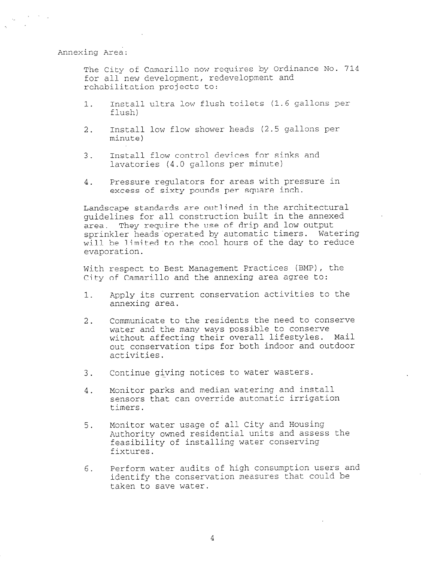Annexing Area:

The City of Camarillo now requires by Ordinance No. 714 for all new development, redevelopment and rehabilitation projects to:

- 1. Install ultra low flush toilets (1.6 gallons per flush)
- 2. Install low flow shower heads (2.5 gallons per minute)
- 3. Install flow control devices for sinks and lavatories (4.0 gallons per minute)
- 4. Pressure regulators for areas with pressure in excess of sixty pounds per square inch.

Landscape standards are outlined in the architectural guidelines for all construction built in the annexed area. They require the use of drip and low output sprinkler heads operated by automatic timers. Watering will be limited to the cool hours of the day to reduce evaporation.

With respect to Best Management Practices (BMP), the City of Camarillo and the annexing area agree to:

- 1. apply its current conservation activities to the annexing area.
- 2. Communicate to the residents the need to conserve water and the many ways possible to conserve without affecting their overall lifestyles. Mail out conservation tips for both indoor and outdoor activities.
- 3. Continue giving notices to water wasters.
- 4. Monitor parks and median watering and install sensors that can override automatic irrigation timers.
- 5. Monitor water usage of all City and Housing Authority owned residential units and assess the feasibility of installing water conserving fixtures.
- 6. Perform water audits of high consumption users and identify the conservation measures that could be taken to save water.

4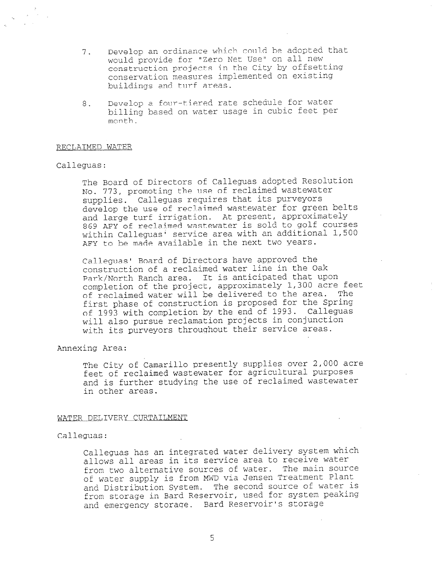- 7. Develop an ordinance which could be adopted that would provide for "Zero Net Use" on all new construction projects in the City by offsetting conservation measures implemented on existing buildings and turf areas.
- 8. Develop a four-tiered rate schedule for water billing based on water usage in cubic feet per month.

### RECLAIMED WATER

### Calleguas:

The Board of Directors of Calleguas adopted Resolution No. 773, promoting the use of reclaimed wastewater supplies. Calleguas requires that its purveyors develop the use of reclaimed wastewater for green belts and large turf irrigation. At present, approximately 869 AFY of reclaimed wastewater is sold to golf courses within Calleguas<sup>;</sup> service area with an additional 1,500 AFY to be made available in the next two years.

Calleguas' Board of Directors have approved the construction of a reclaimed water line in the Oak Park/North Ranch area. It is anticipated that upon completion of the project, approximately i,300 acre feet of reclaimed water will be delivered to the area. The first phase of construction is proposed for the Spring of 1993 with completion by the end of 1993. Calleguas will also pursue reclamation projects in conjunction with its purveyors throughout their service areas.

### Annexing Area:

The City of Camarillo presently supplies over 2,000 acre feet of reclaimed wastewater for agricultural purposes and is further studying the use of reclaimed wastewater in other areas.

### WATER DELIVERY CURTAILMENT

### Calleguas:

Calleguas has an integrated water delivery system which allows all areas in its service area to receive water from two alternative sources of water. The main source IIOM CWO diternative sources of water. The main boar of water supply is from mwo via densen freatment france and Distribution System. The second source of water is<br>from storage in Bard Reservoir, used for system peaking and emergency storage. Bard Reservoir's storage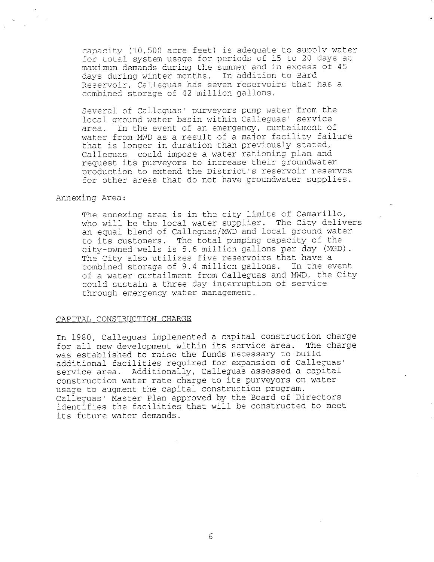capacity (10,500 acre feet) is adequate to supply water for total system usage for periods of 15 to 20 days at maximum demands during the summer and in excess of 45 days during winter months. In addition to Bard Reservoir, Calleguas has seven reservoirs that has a combined storage of 42 million gallons.

Several of Calleguas' purveyors pump water from the local ground water basin within Calleguas' service area. In the event of an emergency, curtailment of water from MWD as a result of a major facility failure that is longer in duration than previously stated, Calleguas could impose a water rationing plan and request its purveyors to increase their groundwater production to extend the District's reservoir reserves for other areas that do not have groundwater supplies.

### Annexing Area:

The annexing area is in the city limits of Camarillo, who will be the local water supplier. The City delivers an equal blend of Calleguas/MWD and local ground water to its customers. The total pumping capacity of the city-owned wells is 5.6 million gallons per day (MGD). The City also utilizes five reservoirs that have a combined storage of 9.4 million gallons. In the event of a water curtailment from Calleguas and MWD, the City could sustain a three day interruption of service through emergency water management.

## CAPITAL CONSTRUCTION CHARGE

In 1980, Calleguas implemented a capital construction charge for all new development within its service area. The charge was established to raise the funds necessary to build additional facilities required for expansion of Calleguas' service area. Additionally, Calleguas assessed a capital construction water rate charge to its purveyors on water usage to augment the capital construction program. Calleguas' Master Plan approved by the Board of Directors identifies the facilities that will be constructed to meet its future water demands.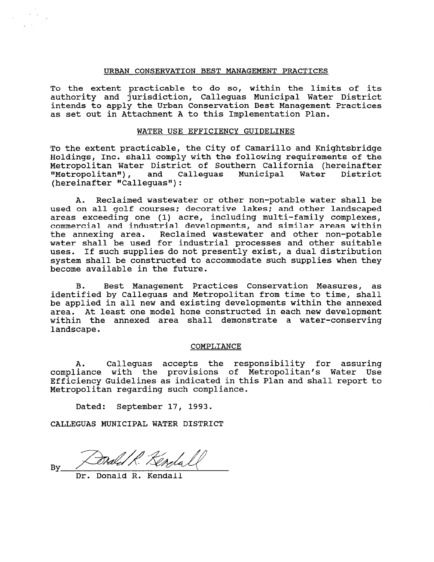### URBAN CONSERVATION BEST MANAGEMENT PRACTICES

To the extent practicable to do so, within the limits of its authority and jurisdiction, Calleguas Municipal Water District intends to apply the Urban Conservation Best Management Practices as set out in Attachment A to this Implementation Plan.

### WATER USE EFFICIENCY GUIDELINES

To the extent practicable, the City of Camarillo and Knightsbridge Holdings, Inc. shall comply with the following requirements of the Metropolitan Water District of Southern California (hereinafter "Metropolitan"), and Calleguas Municipal Water District  $(hereinafter "Callequals");$ 

A. Reclaimed wastewater or other non-potable water shall be used on all golf courses; decorative lakes; and other landscaped areas exceeding one (1) acre, including multi-family complexes, commercial and industrial developments, and similar areas within the annexing area. Reclaimed wastewater and other non-potable water shall be used for industrial processes and other suitable uses. If such supplies do not presently exist, a dual distribution system shall be constructed to accommodate such supplies when they become available in the future.

B. Best Management Practices Conservation Measures, as identified by Calleguas and Metropolitan from time to time, shall be applied in all new and existing developments within the annexed area. At least one model home constructed in each new development within the annexed area shall demonstrate a water-conserving landscape.

### COMPLIANCE

A. Calleguas accepts the responsibility for assuring compliance with the provisions of Metropolitan's Water Use Efficiency Guidelines as indicated in this Plan and shall report to Metropolitan regarding such compliance.

Dated: September 17, 1993.

CALLEGUAS MUNICIPAL WATER DISTRICT

By

Donald R. Kendall